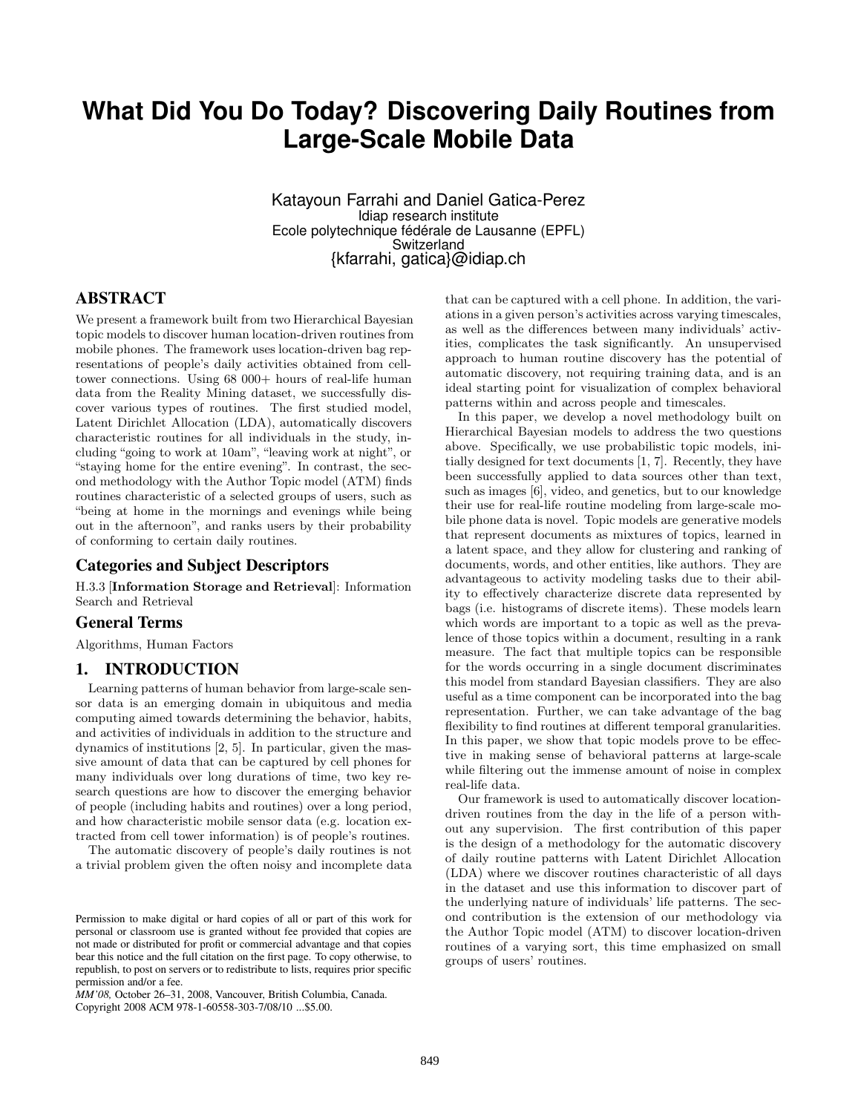# **What Did You Do Today? Discovering Daily Routines from Large-Scale Mobile Data**

Katayoun Farrahi and Daniel Gatica-Perez Idiap research institute Ecole polytechnique fédérale de Lausanne (EPFL) Switzerland {kfarrahi, gatica}@idiap.ch

# ABSTRACT

We present a framework built from two Hierarchical Bayesian topic models to discover human location-driven routines from mobile phones. The framework uses location-driven bag representations of people's daily activities obtained from celltower connections. Using 68 000+ hours of real-life human data from the Reality Mining dataset, we successfully discover various types of routines. The first studied model, Latent Dirichlet Allocation (LDA), automatically discovers characteristic routines for all individuals in the study, including "going to work at 10am", "leaving work at night", or "staying home for the entire evening". In contrast, the second methodology with the Author Topic model (ATM) finds routines characteristic of a selected groups of users, such as "being at home in the mornings and evenings while being out in the afternoon", and ranks users by their probability of conforming to certain daily routines.

#### Categories and Subject Descriptors

H.3.3 [Information Storage and Retrieval]: Information Search and Retrieval

#### General Terms

Algorithms, Human Factors

## 1. INTRODUCTION

Learning patterns of human behavior from large-scale sensor data is an emerging domain in ubiquitous and media computing aimed towards determining the behavior, habits, and activities of individuals in addition to the structure and dynamics of institutions [2, 5]. In particular, given the massive amount of data that can be captured by cell phones for many individuals over long durations of time, two key research questions are how to discover the emerging behavior of people (including habits and routines) over a long period, and how characteristic mobile sensor data (e.g. location extracted from cell tower information) is of people's routines.

The automatic discovery of people's daily routines is not a trivial problem given the often noisy and incomplete data

*MM'08,* October 26–31, 2008, Vancouver, British Columbia, Canada.

Copyright 2008 ACM 978-1-60558-303-7/08/10 ...\$5.00.

that can be captured with a cell phone. In addition, the variations in a given person's activities across varying timescales, as well as the differences between many individuals' activities, complicates the task significantly. An unsupervised approach to human routine discovery has the potential of automatic discovery, not requiring training data, and is an ideal starting point for visualization of complex behavioral patterns within and across people and timescales.

In this paper, we develop a novel methodology built on Hierarchical Bayesian models to address the two questions above. Specifically, we use probabilistic topic models, initially designed for text documents [1, 7]. Recently, they have been successfully applied to data sources other than text, such as images [6], video, and genetics, but to our knowledge their use for real-life routine modeling from large-scale mobile phone data is novel. Topic models are generative models that represent documents as mixtures of topics, learned in a latent space, and they allow for clustering and ranking of documents, words, and other entities, like authors. They are advantageous to activity modeling tasks due to their ability to effectively characterize discrete data represented by bags (i.e. histograms of discrete items). These models learn which words are important to a topic as well as the prevalence of those topics within a document, resulting in a rank measure. The fact that multiple topics can be responsible for the words occurring in a single document discriminates this model from standard Bayesian classifiers. They are also useful as a time component can be incorporated into the bag representation. Further, we can take advantage of the bag flexibility to find routines at different temporal granularities. In this paper, we show that topic models prove to be effective in making sense of behavioral patterns at large-scale while filtering out the immense amount of noise in complex real-life data.

Our framework is used to automatically discover locationdriven routines from the day in the life of a person without any supervision. The first contribution of this paper is the design of a methodology for the automatic discovery of daily routine patterns with Latent Dirichlet Allocation (LDA) where we discover routines characteristic of all days in the dataset and use this information to discover part of the underlying nature of individuals' life patterns. The second contribution is the extension of our methodology via the Author Topic model (ATM) to discover location-driven routines of a varying sort, this time emphasized on small groups of users' routines.

Permission to make digital or hard copies of all or part of this work for personal or classroom use is granted without fee provided that copies are not made or distributed for profit or commercial advantage and that copies bear this notice and the full citation on the first page. To copy otherwise, to republish, to post on servers or to redistribute to lists, requires prior specific permission and/or a fee.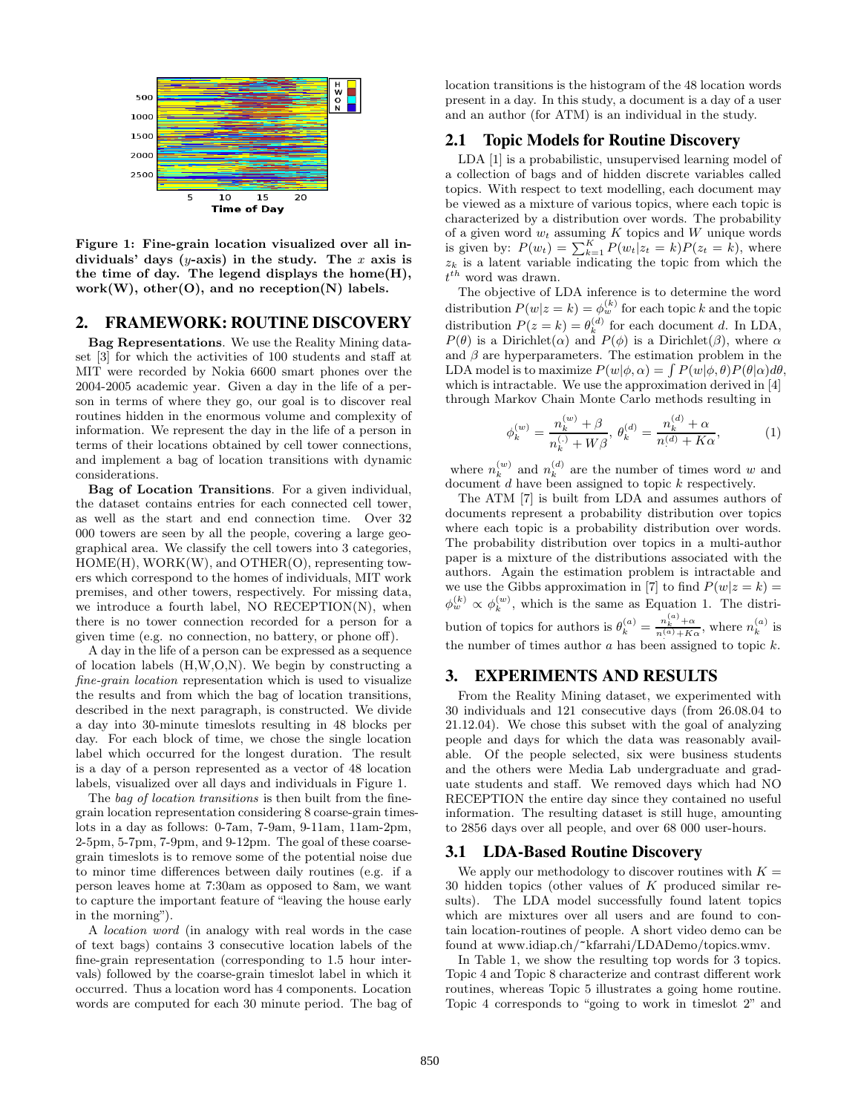

Figure 1: Fine-grain location visualized over all individuals' days (y-axis) in the study. The x axis is the time of day. The legend displays the home(H), work $(W)$ , other $(O)$ , and no reception $(N)$  labels.

# 2. FRAMEWORK: ROUTINE DISCOVERY

Bag Representations. We use the Reality Mining dataset [3] for which the activities of 100 students and staff at MIT were recorded by Nokia 6600 smart phones over the 2004-2005 academic year. Given a day in the life of a person in terms of where they go, our goal is to discover real routines hidden in the enormous volume and complexity of information. We represent the day in the life of a person in terms of their locations obtained by cell tower connections, and implement a bag of location transitions with dynamic considerations.

Bag of Location Transitions. For a given individual, the dataset contains entries for each connected cell tower, as well as the start and end connection time. Over 32 000 towers are seen by all the people, covering a large geographical area. We classify the cell towers into 3 categories, HOME(H), WORK(W), and OTHER(O), representing towers which correspond to the homes of individuals, MIT work premises, and other towers, respectively. For missing data, we introduce a fourth label, NO RECEPTION(N), when there is no tower connection recorded for a person for a given time (e.g. no connection, no battery, or phone off).

A day in the life of a person can be expressed as a sequence of location labels (H,W,O,N). We begin by constructing a fine-grain location representation which is used to visualize the results and from which the bag of location transitions, described in the next paragraph, is constructed. We divide a day into 30-minute timeslots resulting in 48 blocks per day. For each block of time, we chose the single location label which occurred for the longest duration. The result is a day of a person represented as a vector of 48 location labels, visualized over all days and individuals in Figure 1.

The bag of location transitions is then built from the finegrain location representation considering 8 coarse-grain timeslots in a day as follows: 0-7am, 7-9am, 9-11am, 11am-2pm, 2-5pm, 5-7pm, 7-9pm, and 9-12pm. The goal of these coarsegrain timeslots is to remove some of the potential noise due to minor time differences between daily routines (e.g. if a person leaves home at 7:30am as opposed to 8am, we want to capture the important feature of "leaving the house early in the morning").

A location word (in analogy with real words in the case of text bags) contains 3 consecutive location labels of the fine-grain representation (corresponding to 1.5 hour intervals) followed by the coarse-grain timeslot label in which it occurred. Thus a location word has 4 components. Location words are computed for each 30 minute period. The bag of location transitions is the histogram of the 48 location words present in a day. In this study, a document is a day of a user and an author (for ATM) is an individual in the study.

#### 2.1 Topic Models for Routine Discovery

LDA [1] is a probabilistic, unsupervised learning model of a collection of bags and of hidden discrete variables called topics. With respect to text modelling, each document may be viewed as a mixture of various topics, where each topic is characterized by a distribution over words. The probability of a given word  $w_t$  assuming K topics and W unique words<br>is given by:  $P(w_t) = \sum_{k=1}^{K} P(w_t | z_t = k) P(z_t = k)$ , where  $z_k$  is a latent variable indicating the topic from which the  $t^{th}$  word was drawn.

The objective of LDA inference is to determine the word distribution  $P(w|z = k) = \phi_w^{(k)}$  for each topic k and the topic distribution  $P(z = k) = \theta_k^{(d)}$  for each document d. In LDA,  $P(\theta)$  is a Dirichlet( $\alpha$ ) and  $P(\phi)$  is a Dirichlet( $\beta$ ), where  $\alpha$ and  $\beta$  are hyperparameters. The estimation problem in the LDA model is to maximize  $P(w|\phi, \alpha) = \int P(w|\phi, \theta) P(\theta|\alpha) d\theta$ , which is intractable. We use the approximation derived in [4] through Markov Chain Monte Carlo methods resulting in

$$
\phi_k^{(w)} = \frac{n_k^{(w)} + \beta}{n_k^{(.)} + W\beta}, \ \theta_k^{(d)} = \frac{n_k^{(d)} + \alpha}{n^{(d)} + K\alpha}, \tag{1}
$$

where  $n_k^{(w)}$  and  $n_k^{(d)}$  are the number of times word w and document  $d$  have been assigned to topic  $k$  respectively.

The ATM [7] is built from LDA and assumes authors of documents represent a probability distribution over topics where each topic is a probability distribution over words. The probability distribution over topics in a multi-author paper is a mixture of the distributions associated with the authors. Again the estimation problem is intractable and we use the Gibbs approximation in [7] to find  $P(w|z = k) =$  $\phi_w^{(k)} \propto \phi_k^{(w)}$ , which is the same as Equation 1. The distribution of topics for authors is  $\theta_k^{(a)} = \frac{n_k^{(a)} + \alpha}{n^{(a)} + K\alpha}$ , where  $n_k^{(a)}$  is the number of times author  $a$  has been assigned to topic  $k$ .

# 3. EXPERIMENTS AND RESULTS

From the Reality Mining dataset, we experimented with 30 individuals and 121 consecutive days (from 26.08.04 to 21.12.04). We chose this subset with the goal of analyzing people and days for which the data was reasonably available. Of the people selected, six were business students and the others were Media Lab undergraduate and graduate students and staff. We removed days which had NO RECEPTION the entire day since they contained no useful information. The resulting dataset is still huge, amounting to 2856 days over all people, and over 68 000 user-hours.

#### 3.1 LDA-Based Routine Discovery

We apply our methodology to discover routines with  $K =$ 30 hidden topics (other values of K produced similar results). The LDA model successfully found latent topics which are mixtures over all users and are found to contain location-routines of people. A short video demo can be found at www.idiap.ch/~kfarrahi/LDADemo/topics.wmv.

In Table 1, we show the resulting top words for 3 topics. Topic 4 and Topic 8 characterize and contrast different work routines, whereas Topic 5 illustrates a going home routine. Topic 4 corresponds to "going to work in timeslot 2" and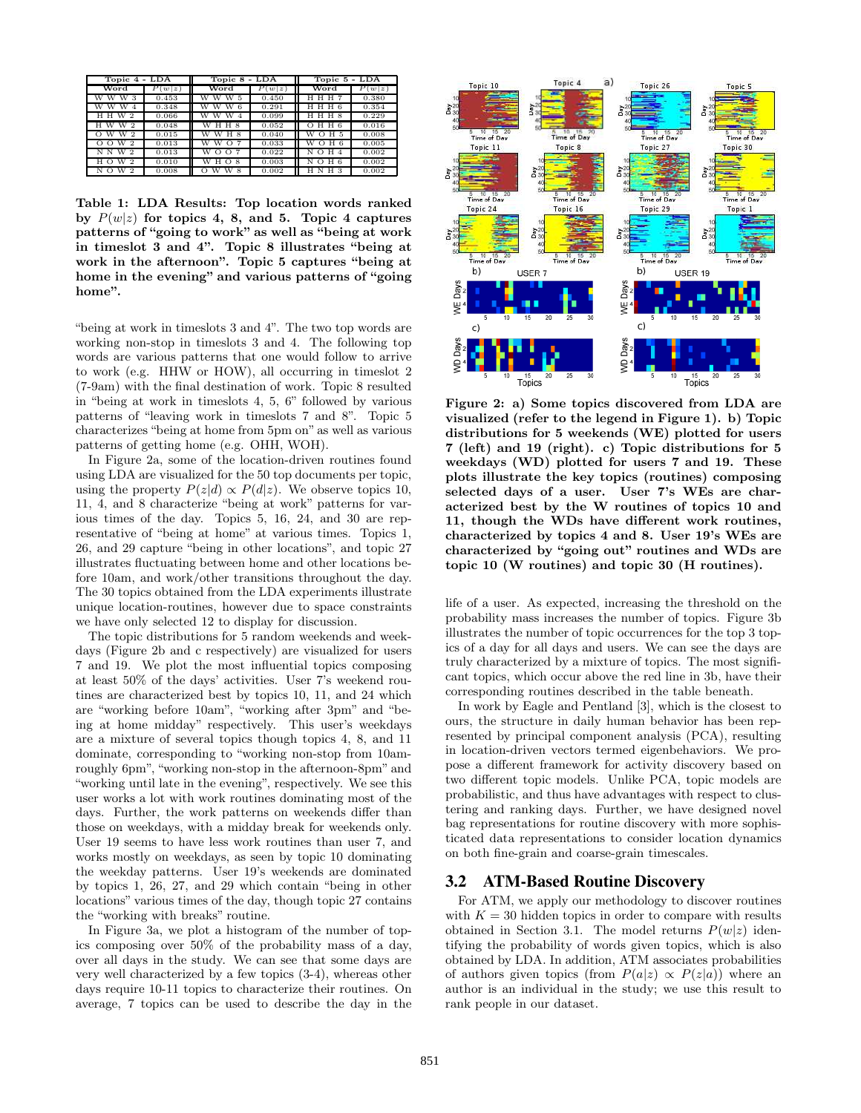| Topic 4 - LDA                   |               | Topic 8 - LDA            |        | Topic 5 - LDA        |           |
|---------------------------------|---------------|--------------------------|--------|----------------------|-----------|
| Word                            | $P_1$<br> w z | Word                     | P(w z) | Word                 | Р<br>w z) |
| w w<br>w                        | 0.453         |                          | 0.450  | нн<br>н              | 0.380     |
| W<br>w<br>w<br>$\overline{4}$   | 0.348         | w<br>w<br>-6<br>w        | 0.291  | ННН 6                | 0.354     |
| 2<br>н<br>w<br>н                | 0.066         | w<br>w<br>w              | 0.099  | H 8<br>н<br>н        | 0.229     |
| w<br>H W                        | 0.048         | w<br>н<br>н              | 0.052  | нн<br>$\Omega$       | 0.016     |
| w<br>-2<br>W<br>$\Omega$        | 0.015         | w<br>W<br>H <sub>8</sub> | 0.040  | w<br>H 5<br>$\Omega$ | 0.008     |
| w<br>-2<br>$\Omega$<br>$\Omega$ | 0.013         | w<br>w<br>O              | 0.033  | H 6<br>w<br>$\Omega$ | 0.005     |
| N N<br>w<br>$\mathcal{D}$       | 0.013         | w<br>$\Omega$            | 0.022  | N O<br>н             | 0.002     |
| н<br>w<br>-2                    | 0.010         | W<br>н<br>8<br>$\circ$   | 0.003  | $\circ$<br>H 6<br>N  | 0.002     |
| N<br>w<br>$\mathcal{D}$         | 0.008         | W                        | 0.002  |                      | 0.002     |

Table 1: LDA Results: Top location words ranked by  $P(w|z)$  for topics 4, 8, and 5. Topic 4 captures patterns of "going to work" as well as "being at work in timeslot 3 and 4". Topic 8 illustrates "being at work in the afternoon". Topic 5 captures "being at home in the evening" and various patterns of "going home".

"being at work in timeslots 3 and 4". The two top words are working non-stop in timeslots 3 and 4. The following top words are various patterns that one would follow to arrive to work (e.g. HHW or HOW), all occurring in timeslot 2 (7-9am) with the final destination of work. Topic 8 resulted in "being at work in timeslots 4, 5, 6" followed by various patterns of "leaving work in timeslots 7 and 8". Topic 5 characterizes "being at home from 5pm on" as well as various patterns of getting home (e.g. OHH, WOH).

In Figure 2a, some of the location-driven routines found using LDA are visualized for the 50 top documents per topic, using the property  $P(z|d) \propto P(d|z)$ . We observe topics 10, 11, 4, and 8 characterize "being at work" patterns for various times of the day. Topics 5, 16, 24, and 30 are representative of "being at home" at various times. Topics 1, 26, and 29 capture "being in other locations", and topic 27 illustrates fluctuating between home and other locations before 10am, and work/other transitions throughout the day. The 30 topics obtained from the LDA experiments illustrate unique location-routines, however due to space constraints we have only selected 12 to display for discussion.

The topic distributions for 5 random weekends and weekdays (Figure 2b and c respectively) are visualized for users 7 and 19. We plot the most influential topics composing at least 50% of the days' activities. User 7's weekend routines are characterized best by topics 10, 11, and 24 which are "working before 10am", "working after 3pm" and "being at home midday" respectively. This user's weekdays are a mixture of several topics though topics 4, 8, and 11 dominate, corresponding to "working non-stop from 10amroughly 6pm", "working non-stop in the afternoon-8pm" and "working until late in the evening", respectively. We see this user works a lot with work routines dominating most of the days. Further, the work patterns on weekends differ than those on weekdays, with a midday break for weekends only. User 19 seems to have less work routines than user 7, and works mostly on weekdays, as seen by topic 10 dominating the weekday patterns. User 19's weekends are dominated by topics 1, 26, 27, and 29 which contain "being in other locations" various times of the day, though topic 27 contains the "working with breaks" routine.

In Figure 3a, we plot a histogram of the number of topics composing over 50% of the probability mass of a day, over all days in the study. We can see that some days are very well characterized by a few topics (3-4), whereas other days require 10-11 topics to characterize their routines. On average, 7 topics can be used to describe the day in the



Figure 2: a) Some topics discovered from LDA are visualized (refer to the legend in Figure 1). b) Topic distributions for 5 weekends (WE) plotted for users 7 (left) and 19 (right). c) Topic distributions for 5 weekdays (WD) plotted for users 7 and 19. These plots illustrate the key topics (routines) composing selected days of a user. User 7's WEs are characterized best by the W routines of topics 10 and 11, though the WDs have different work routines, characterized by topics 4 and 8. User 19's WEs are characterized by "going out" routines and WDs are topic 10 (W routines) and topic 30 (H routines).

life of a user. As expected, increasing the threshold on the probability mass increases the number of topics. Figure 3b illustrates the number of topic occurrences for the top 3 topics of a day for all days and users. We can see the days are truly characterized by a mixture of topics. The most significant topics, which occur above the red line in 3b, have their corresponding routines described in the table beneath.

In work by Eagle and Pentland [3], which is the closest to ours, the structure in daily human behavior has been represented by principal component analysis (PCA), resulting in location-driven vectors termed eigenbehaviors. We propose a different framework for activity discovery based on two different topic models. Unlike PCA, topic models are probabilistic, and thus have advantages with respect to clustering and ranking days. Further, we have designed novel bag representations for routine discovery with more sophisticated data representations to consider location dynamics on both fine-grain and coarse-grain timescales.

## 3.2 ATM-Based Routine Discovery

For ATM, we apply our methodology to discover routines with  $K = 30$  hidden topics in order to compare with results obtained in Section 3.1. The model returns  $P(w|z)$  identifying the probability of words given topics, which is also obtained by LDA. In addition, ATM associates probabilities of authors given topics (from  $P(a|z) \propto P(z|a)$ ) where an author is an individual in the study; we use this result to rank people in our dataset.